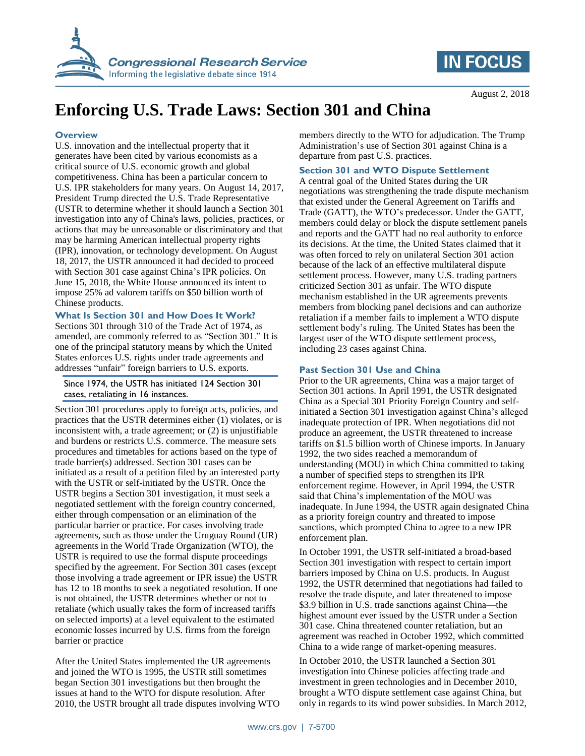



# **Enforcing U.S. Trade Laws: Section 301 and China**

### **Overview**

U.S. innovation and the intellectual property that it generates have been cited by various economists as a critical source of U.S. economic growth and global competitiveness. China has been a particular concern to U.S. IPR stakeholders for many years. On August 14, 2017, President Trump directed the U.S. Trade Representative (USTR to determine whether it should launch a Section 301 investigation into any of China's laws, policies, practices, or actions that may be unreasonable or discriminatory and that may be harming American intellectual property rights (IPR), innovation, or technology development. On August 18, 2017, the USTR announced it had decided to proceed with Section 301 case against China's IPR policies. On June 15, 2018, the White House announced its intent to impose 25% ad valorem tariffs on \$50 billion worth of Chinese products.

### **What Is Section 301 and How Does It Work?**

Sections 301 through 310 of the Trade Act of 1974, as amended, are commonly referred to as "Section 301." It is one of the principal statutory means by which the United States enforces U.S. rights under trade agreements and addresses "unfair" foreign barriers to U.S. exports.

## Since 1974, the USTR has initiated 124 Section 301 cases, retaliating in 16 instances.

Section 301 procedures apply to foreign acts, policies, and practices that the USTR determines either (1) violates, or is inconsistent with, a trade agreement; or (2) is unjustifiable and burdens or restricts U.S. commerce. The measure sets procedures and timetables for actions based on the type of trade barrier(s) addressed. Section 301 cases can be initiated as a result of a petition filed by an interested party with the USTR or self-initiated by the USTR. Once the USTR begins a Section 301 investigation, it must seek a negotiated settlement with the foreign country concerned, either through compensation or an elimination of the particular barrier or practice. For cases involving trade agreements, such as those under the Uruguay Round (UR) agreements in the World Trade Organization (WTO), the USTR is required to use the formal dispute proceedings specified by the agreement. For Section 301 cases (except those involving a trade agreement or IPR issue) the USTR has 12 to 18 months to seek a negotiated resolution. If one is not obtained, the USTR determines whether or not to retaliate (which usually takes the form of increased tariffs on selected imports) at a level equivalent to the estimated economic losses incurred by U.S. firms from the foreign barrier or practice

After the United States implemented the UR agreements and joined the WTO is 1995, the USTR still sometimes began Section 301 investigations but then brought the issues at hand to the WTO for dispute resolution. After 2010, the USTR brought all trade disputes involving WTO members directly to the WTO for adjudication. The Trump Administration's use of Section 301 against China is a departure from past U.S. practices.

# **Section 301 and WTO Dispute Settlement**

A central goal of the United States during the UR negotiations was strengthening the trade dispute mechanism that existed under the General Agreement on Tariffs and Trade (GATT), the WTO's predecessor. Under the GATT, members could delay or block the dispute settlement panels and reports and the GATT had no real authority to enforce its decisions. At the time, the United States claimed that it was often forced to rely on unilateral Section 301 action because of the lack of an effective multilateral dispute settlement process. However, many U.S. trading partners criticized Section 301 as unfair. The WTO dispute mechanism established in the UR agreements prevents members from blocking panel decisions and can authorize retaliation if a member fails to implement a WTO dispute settlement body's ruling. The United States has been the largest user of the WTO dispute settlement process, including 23 cases against China.

## **Past Section 301 Use and China**

Prior to the UR agreements, China was a major target of Section 301 actions. In April 1991, the USTR designated China as a Special 301 Priority Foreign Country and selfinitiated a Section 301 investigation against China's alleged inadequate protection of IPR. When negotiations did not produce an agreement, the USTR threatened to increase tariffs on \$1.5 billion worth of Chinese imports. In January 1992, the two sides reached a memorandum of understanding (MOU) in which China committed to taking a number of specified steps to strengthen its IPR enforcement regime. However, in April 1994, the USTR said that China's implementation of the MOU was inadequate. In June 1994, the USTR again designated China as a priority foreign country and threated to impose sanctions, which prompted China to agree to a new IPR enforcement plan.

In October 1991, the USTR self-initiated a broad-based Section 301 investigation with respect to certain import barriers imposed by China on U.S. products. In August 1992, the USTR determined that negotiations had failed to resolve the trade dispute, and later threatened to impose \$3.9 billion in U.S. trade sanctions against China—the highest amount ever issued by the USTR under a Section 301 case. China threatened counter retaliation, but an agreement was reached in October 1992, which committed China to a wide range of market-opening measures.

In October 2010, the USTR launched a Section 301 investigation into Chinese policies affecting trade and investment in green technologies and in December 2010, brought a WTO dispute settlement case against China, but only in regards to its wind power subsidies. In March 2012,